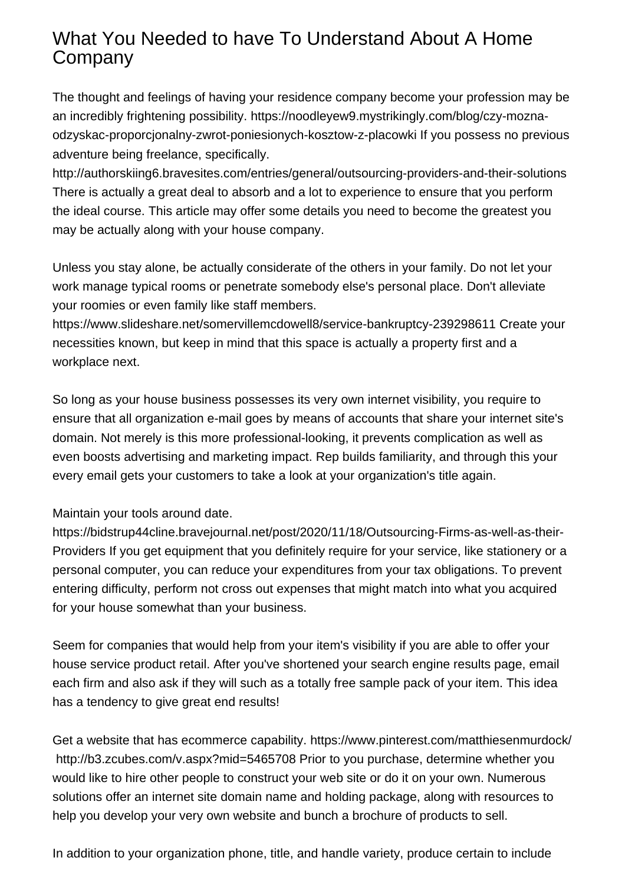## What You Needed to have To Understand About A Home Company

The thought and feelings of having your residence company become your profession may be an incredibly frightening possibility. [https://noodleyew9.mystrikingly.com/blog/czy-mozna](https://noodleyew9.mystrikingly.com/blog/czy-mozna-odzyskac-proporcjonalny-zwrot-poniesionych-kosztow-z-placowki)[odzyskac-proporcjonalny-zwrot-poniesionych-kosztow-z-placowki](https://noodleyew9.mystrikingly.com/blog/czy-mozna-odzyskac-proporcjonalny-zwrot-poniesionych-kosztow-z-placowki) If you possess no previous adventure being freelance, specifically.

<http://authorskiing6.bravesites.com/entries/general/outsourcing-providers-and-their-solutions> There is actually a great deal to absorb and a lot to experience to ensure that you perform the ideal course. This article may offer some details you need to become the greatest you may be actually along with your house company.

Unless you stay alone, be actually considerate of the others in your family. Do not let your work manage typical rooms or penetrate somebody else's personal place. Don't alleviate your roomies or even family like staff members.

<https://www.slideshare.net/somervillemcdowell8/service-bankruptcy-239298611> Create your necessities known, but keep in mind that this space is actually a property first and a workplace next.

So long as your house business possesses its very own internet visibility, you require to ensure that all organization e-mail goes by means of accounts that share your internet site's domain. Not merely is this more professional-looking, it prevents complication as well as even boosts advertising and marketing impact. Rep builds familiarity, and through this your every email gets your customers to take a look at your organization's title again.

## Maintain your tools around date.

[https://bidstrup44cline.bravejournal.net/post/2020/11/18/Outsourcing-Firms-as-well-as-their-](https://bidstrup44cline.bravejournal.net/post/2020/11/18/Outsourcing-Firms-as-well-as-their-Providers)[Providers](https://bidstrup44cline.bravejournal.net/post/2020/11/18/Outsourcing-Firms-as-well-as-their-Providers) If you get equipment that you definitely require for your service, like stationery or a personal computer, you can reduce your expenditures from your tax obligations. To prevent entering difficulty, perform not cross out expenses that might match into what you acquired for your house somewhat than your business.

Seem for companies that would help from your item's visibility if you are able to offer your house service product retail. After you've shortened your search engine results page, email each firm and also ask if they will such as a totally free sample pack of your item. This idea has a tendency to give great end results!

Get a website that has ecommerce capability.<https://www.pinterest.com/matthiesenmurdock/> <http://b3.zcubes.com/v.aspx?mid=5465708>Prior to you purchase, determine whether you would like to hire other people to construct your web site or do it on your own. Numerous solutions offer an internet site domain name and holding package, along with resources to help you develop your very own website and bunch a brochure of products to sell.

In addition to your organization phone, title, and handle variety, produce certain to include